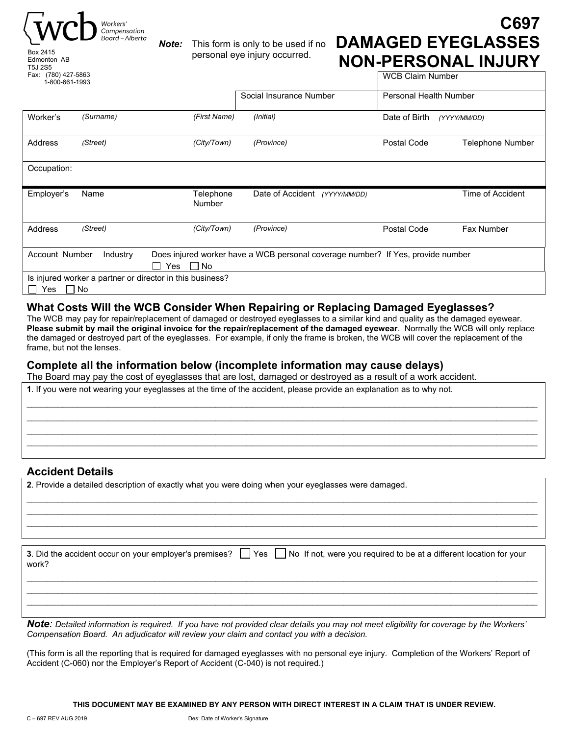



*Note:* This form is only to be used if no personal eye injury occurred.

# **C697 DAMAGED EYEGLASSES NON-PERSONAL INJURY**

WCB Claim Number

| 1-800-661-1993 |           |                                                           |                                                                                 |                               |                         |
|----------------|-----------|-----------------------------------------------------------|---------------------------------------------------------------------------------|-------------------------------|-------------------------|
|                |           |                                                           | Social Insurance Number                                                         | <b>Personal Health Number</b> |                         |
| Worker's       | (Surname) | (First Name)                                              | (Initial)                                                                       | Date of Birth                 | (YYYY/MM/DD)            |
| Address        | (Street)  | (City/Town)                                               | (Province)                                                                      | Postal Code                   | <b>Telephone Number</b> |
| Occupation:    |           |                                                           |                                                                                 |                               |                         |
| Employer's     | Name      | Telephone<br><b>Number</b>                                | Date of Accident<br>(YYYY/MM/DD)                                                |                               | Time of Accident        |
|                |           |                                                           |                                                                                 |                               |                         |
| Address        | (Street)  | (City/Town)                                               | (Province)                                                                      | Postal Code                   | <b>Fax Number</b>       |
| Account Number | Industry  |                                                           | Does injured worker have a WCB personal coverage number? If Yes, provide number |                               |                         |
|                |           | Yes<br>□ No                                               |                                                                                 |                               |                         |
|                |           | Is injured worker a partner or director in this business? |                                                                                 |                               |                         |

## **What Costs Will the WCB Consider When Repairing or Replacing Damaged Eyeglasses?**

The WCB may pay for repair/replacement of damaged or destroyed eyeglasses to a similar kind and quality as the damaged eyewear. **Please submit by mail the original invoice for the repair/replacement of the damaged eyewear**. Normally the WCB will only replace the damaged or destroyed part of the eyeglasses. For example, if only the frame is broken, the WCB will cover the replacement of the frame, but not the lenses.

 $\_$  $\_$  $\mathcal{L}_\mathcal{L} = \mathcal{L}_\mathcal{L} = \mathcal{L}_\mathcal{L} = \mathcal{L}_\mathcal{L} = \mathcal{L}_\mathcal{L} = \mathcal{L}_\mathcal{L} = \mathcal{L}_\mathcal{L} = \mathcal{L}_\mathcal{L} = \mathcal{L}_\mathcal{L} = \mathcal{L}_\mathcal{L} = \mathcal{L}_\mathcal{L} = \mathcal{L}_\mathcal{L} = \mathcal{L}_\mathcal{L} = \mathcal{L}_\mathcal{L} = \mathcal{L}_\mathcal{L} = \mathcal{L}_\mathcal{L} = \mathcal{L}_\mathcal{L}$ 

# **Complete all the information below (incomplete information may cause delays)**

The Board may pay the cost of eyeglasses that are lost, damaged or destroyed as a result of a work accident.

**1**. If you were not wearing your eyeglasses at the time of the accident, please provide an explanation as to why not.

## **Accident Details**

**2**. Provide a detailed description of exactly what you were doing when your eyeglasses were damaged.

| 3. Did the accident occur on your employer's premises?<br>work? | Yes     No If not, were you required to be at a different location for your |
|-----------------------------------------------------------------|-----------------------------------------------------------------------------|
|                                                                 |                                                                             |

 $\_$ 

 $\mathcal{L}_\mathcal{L} = \mathcal{L}_\mathcal{L} = \mathcal{L}_\mathcal{L} = \mathcal{L}_\mathcal{L} = \mathcal{L}_\mathcal{L} = \mathcal{L}_\mathcal{L} = \mathcal{L}_\mathcal{L} = \mathcal{L}_\mathcal{L} = \mathcal{L}_\mathcal{L} = \mathcal{L}_\mathcal{L} = \mathcal{L}_\mathcal{L} = \mathcal{L}_\mathcal{L} = \mathcal{L}_\mathcal{L} = \mathcal{L}_\mathcal{L} = \mathcal{L}_\mathcal{L} = \mathcal{L}_\mathcal{L} = \mathcal{L}_\mathcal{L}$  $\_$ 

*Note: Detailed information is required. If you have not provided clear details you may not meet eligibility for coverage by the Workers' Compensation Board. An adjudicator will review your claim and contact you with a decision.* 

(This form is all the reporting that is required for damaged eyeglasses with no personal eye injury. Completion of the Workers' Report of Accident (C-060) nor the Employer's Report of Accident (C-040) is not required.)

**THIS DOCUMENT MAY BE EXAMINED BY ANY PERSON WITH DIRECT INTEREST IN A CLAIM THAT IS UNDER REVIEW.**